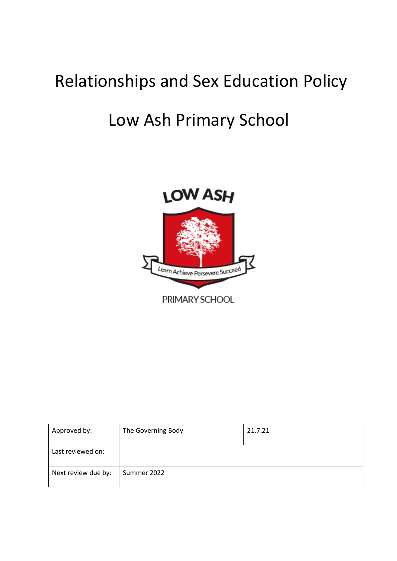# Relationships and Sex Education Policy

# Low Ash Primary School



Approved by: The Governing Body 21.7.21 Last reviewed on: Next review due by:  $\vert$  Summer 2022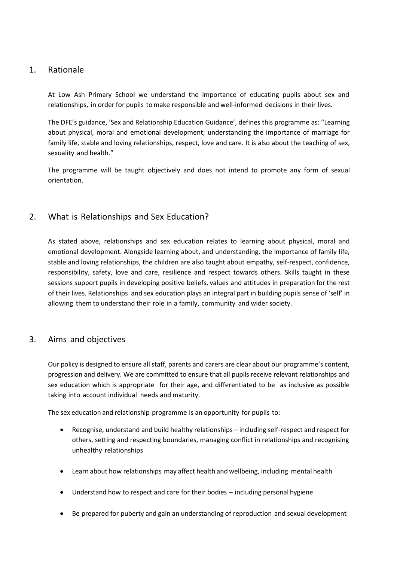## 1. Rationale

At Low Ash Primary School we understand the importance of educating pupils about sex and relationships, in order for pupils to make responsible and well-informed decisions in their lives.

The DFE's guidance, 'Sex and Relationship Education Guidance', defines this programme as: "Learning about physical, moral and emotional development; understanding the importance of marriage for family life, stable and loving relationships, respect, love and care. It is also about the teaching of sex, sexuality and health."

The programme will be taught objectively and does not intend to promote any form of sexual orientation.

# 2. What is Relationships and Sex Education?

As stated above, relationships and sex education relates to learning about physical, moral and emotional development. Alongside learning about, and understanding, the importance of family life, stable and loving relationships, the children are also taught about empathy, self-respect, confidence, responsibility, safety, love and care, resilience and respect towards others. Skills taught in these sessions support pupils in developing positive beliefs, values and attitudes in preparation for the rest of their lives. Relationships and sex education plays an integral part in building pupils sense of 'self' in allowing them to understand their role in a family, community and wider society.

### 3. Aims and objectives

Our policy is designed to ensure all staff, parents and carers are clear about our programme's content, progression and delivery. We are committed to ensure that all pupils receive relevant relationships and sex education which is appropriate for their age, and differentiated to be as inclusive as possible taking into account individual needs and maturity.

The sex education and relationship programme is an opportunity for pupils to:

- Recognise, understand and build healthy relationships including self-respect and respect for others, setting and respecting boundaries, managing conflict in relationships and recognising unhealthy relationships
- Learn about how relationships may affect health and wellbeing, including mental health
- Understand how to respect and care for their bodies including personal hygiene
- Be prepared for puberty and gain an understanding of reproduction and sexual development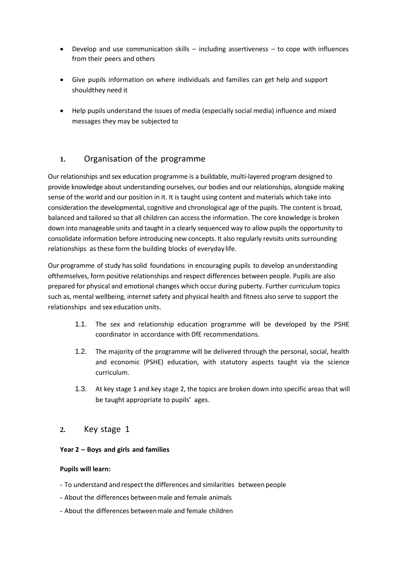- Develop and use communication skills including assertiveness to cope with influences from their peers and others
- Give pupils information on where individuals and families can get help and support shouldthey need it
- Help pupils understand the issues of media (especially social media) influence and mixed messages they may be subjected to

# **1.** Organisation of the programme

Our relationships and sex education programme is a buildable, multi-layered program designed to provide knowledge about understanding ourselves, our bodies and our relationships, alongside making sense of the world and our position in it. It is taught using content and materials which take into consideration the developmental, cognitive and chronological age of the pupils. The content is broad, balanced and tailored so that all children can access the information. The core knowledge is broken down into manageable units and taught in a clearly sequenced way to allow pupils the opportunity to consolidate information before introducing new concepts. It also regularly revisits units surrounding relationships asthese form the building blocks of everyday life.

Our programme of study hassolid foundations in encouraging pupils to develop anunderstanding ofthemselves, form positive relationships and respect differences between people. Pupils are also prepared for physical and emotional changes which occur during puberty. Further curriculum topics such as, mental wellbeing, internet safety and physical health and fitness also serve to support the relationships and sex education units.

- 1.1. The sex and relationship education programme will be developed by the PSHE coordinator in accordance with DfE recommendations.
- 1.2. The majority of the programme will be delivered through the personal, social, health and economic (PSHE) education, with statutory aspects taught via the science curriculum.
- 1.3. At key stage 1 and key stage 2, the topics are broken down into specific areas that will be taught appropriate to pupils' ages.

# **2.** Key stage 1

#### **Year 2 – Boys and girls and families**

#### **Pupils will learn:**

- To understand and respect the differences and similarities between people
- About the differences betweenmale and female animals
- About the differences betweenmale and female children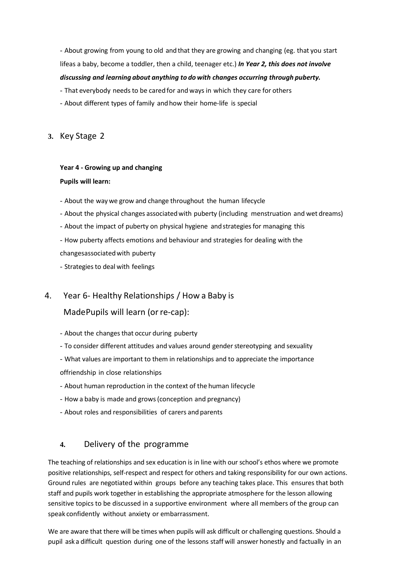- About growing from young to old andthat they are growing and changing (eg. that you start lifeas a baby, become a toddler, then a child, teenager etc.) *In Year 2, this does not involve discussing and learning about anything to do with changes occurring through puberty.*

- That everybody needs to be cared for and ways in which they care for others

- About different types of family andhow their home-life is special

**3.** Key Stage 2

#### **Year 4 - Growing up and changing**

#### **Pupils will learn:**

- About the waywe grow and change throughout the human lifecycle
- About the physical changes associatedwith puberty (including menstruation and wet dreams)
- About the impact of puberty on physical hygiene and strategies for managing this

- How puberty affects emotions and behaviour and strategies for dealing with the changesassociatedwith puberty

- Strategies to deal with feelings

### 4. Year 6- Healthy Relationships / How a Baby is

### MadePupils will learn (orre-cap):

- About the changes that occur during puberty
- To consider different attitudes and values around gender stereotyping and sexuality
- What values are important to them in relationships and to appreciate the importance
- offriendship in close relationships
- About human reproduction in the context of the human lifecycle
- How a baby is made and grows(conception and pregnancy)
- About roles and responsibilities of carers and parents

### **4.** Delivery of the programme

The teaching of relationships and sex education is in line with our school's ethos where we promote positive relationships, self-respect and respect for others and taking responsibility for our own actions. Ground rules are negotiated within groups before any teaching takes place. This ensures that both staff and pupils work together in establishing the appropriate atmosphere for the lesson allowing sensitive topics to be discussed in a supportive environment where all members of the group can speak confidently without anxiety or embarrassment.

We are aware that there will be times when pupils will ask difficult or challenging questions. Should a pupil ask a difficult question during one of the lessons staff will answer honestly and factually in an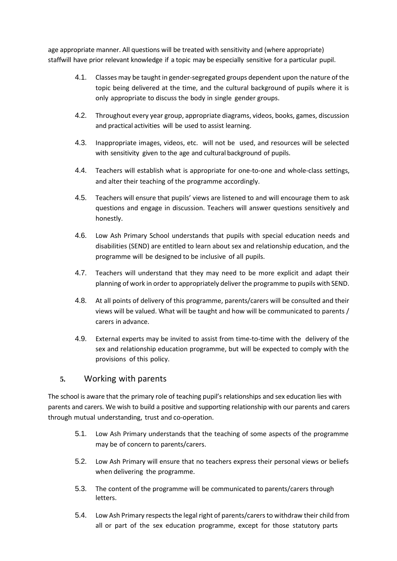age appropriate manner. All questions will be treated with sensitivity and (where appropriate) staffwill have prior relevant knowledge if a topic may be especially sensitive for a particular pupil.

- 4.1. Classes may be taught in gender-segregated groups dependent upon the nature of the topic being delivered at the time, and the cultural background of pupils where it is only appropriate to discuss the body in single gender groups.
- 4.2. Throughout every year group, appropriate diagrams, videos, books, games, discussion and practical activities will be used to assist learning.
- 4.3. Inappropriate images, videos, etc. will not be used, and resources will be selected with sensitivity given to the age and cultural background of pupils.
- 4.4. Teachers will establish what is appropriate for one-to-one and whole-class settings, and alter their teaching of the programme accordingly.
- 4.5. Teachers will ensure that pupils' views are listened to and will encourage them to ask questions and engage in discussion. Teachers will answer questions sensitively and honestly.
- 4.6. Low Ash Primary School understands that pupils with special education needs and disabilities (SEND) are entitled to learn about sex and relationship education, and the programme will be designed to be inclusive of all pupils.
- 4.7. Teachers will understand that they may need to be more explicit and adapt their planning of work in order to appropriately deliver the programme to pupils with SEND.
- 4.8. At all points of delivery of this programme, parents/carers will be consulted and their views will be valued. What will be taught and how will be communicated to parents / carers in advance.
- 4.9. External experts may be invited to assist from time-to-time with the delivery of the sex and relationship education programme, but will be expected to comply with the provisions of this policy.

# **5.** Working with parents

The school is aware that the primary role of teaching pupil's relationships and sex education lies with parents and carers. We wish to build a positive and supporting relationship with our parents and carers through mutual understanding, trust and co-operation.

- 5.1. Low Ash Primary understands that the teaching of some aspects of the programme may be of concern to parents/carers.
- 5.2. Low Ash Primary will ensure that no teachers express their personal views or beliefs when delivering the programme.
- 5.3. The content of the programme will be communicated to parents/carers through letters.
- 5.4. Low Ash Primary respects the legal right of parents/carers to withdraw their child from all or part of the sex education programme, except for those statutory parts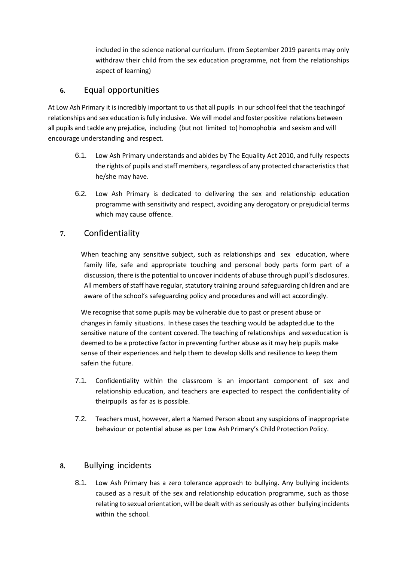included in the science national curriculum. (from September 2019 parents may only withdraw their child from the sex education programme, not from the relationships aspect of learning)

## **6.** Equal opportunities

At Low Ash Primary it is incredibly important to us that all pupils in our school feel that the teachingof relationships and sex education is fully inclusive. We will model and foster positive relations between all pupils and tackle any prejudice, including (but not limited to) homophobia and sexism and will encourage understanding and respect.

- 6.1. Low Ash Primary understands and abides by The Equality Act 2010, and fully respects the rights of pupils and staff members, regardless of any protected characteristics that he/she may have.
- 6.2. Low Ash Primary is dedicated to delivering the sex and relationship education programme with sensitivity and respect, avoiding any derogatory or prejudicial terms which may cause offence.

# **7.** Confidentiality

When teaching any sensitive subject, such as relationships and sex education, where family life, safe and appropriate touching and personal body parts form part of a discussion, there is the potential to uncover incidents of abuse through pupil's disclosures. All members of staff have regular, statutory training around safeguarding children and are aware of the school's safeguarding policy and procedures and will act accordingly.

We recognise that some pupils may be vulnerable due to past or present abuse or changesin family situations. In these casesthe teaching would be adapted due to the sensitive nature of the content covered. The teaching of relationships and sex education is deemed to be a protective factor in preventing further abuse as it may help pupils make sense of their experiences and help them to develop skills and resilience to keep them safein the future.

- 7.1. Confidentiality within the classroom is an important component of sex and relationship education, and teachers are expected to respect the confidentiality of theirpupils as far as is possible.
- 7.2. Teachers must, however, alert a Named Person about any suspicions of inappropriate behaviour or potential abuse as per Low Ash Primary's Child Protection Policy.

# **8.** Bullying incidents

8.1. Low Ash Primary has a zero tolerance approach to bullying. Any bullying incidents caused as a result of the sex and relationship education programme, such as those relating to sexual orientation, will be dealt with asseriously as other bullying incidents within the school.